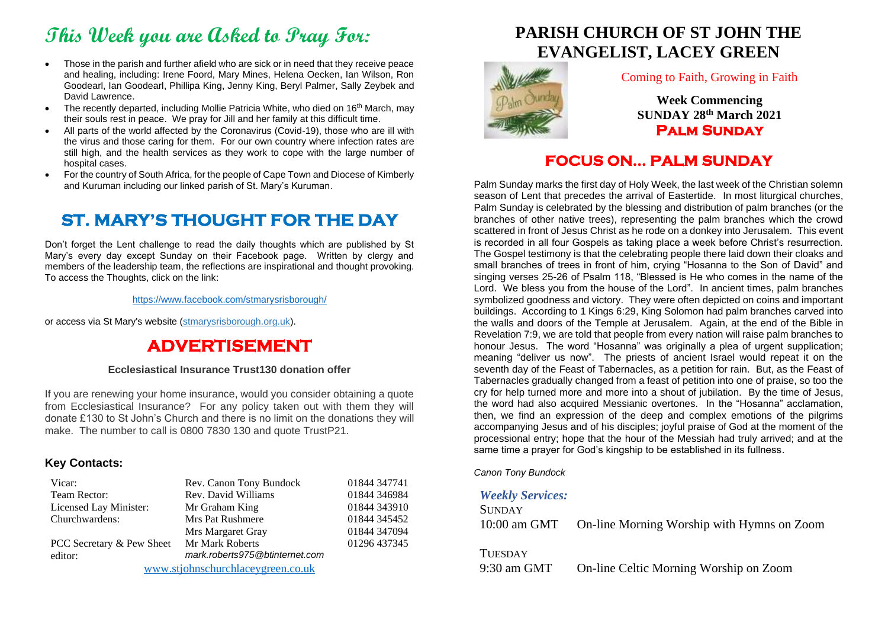# **This Week you are Asked to Pray For:**

- Those in the parish and further afield who are sick or in need that they receive peace and healing, including: Irene Foord, Mary Mines, Helena Oecken, Ian Wilson, Ron Goodearl, Ian Goodearl, Phillipa King, Jenny King, Beryl Palmer, Sally Zeybek and David Lawrence.
- The recently departed, including Mollie Patricia White, who died on 16<sup>th</sup> March, may their souls rest in peace. We pray for Jill and her family at this difficult time.
- All parts of the world affected by the Coronavirus (Covid-19), those who are ill with the virus and those caring for them. For our own country where infection rates are still high, and the health services as they work to cope with the large number of hospital cases.
- For the country of South Africa, for the people of Cape Town and Diocese of Kimberly and Kuruman including our linked parish of St. Mary's Kuruman.

## **ST. MARY'S THOUGHT FOR THE DAY**

Don't forget the Lent challenge to read the daily thoughts which are published by St Mary's every day except Sunday on their Facebook page. Written by clergy and members of the leadership team, the reflections are inspirational and thought provoking. To access the Thoughts, click on the link:

<https://www.facebook.com/stmarysrisborough/>

or access via St Mary's website (stmarysrisborough.org.uk).

## **ADVERTISEMENT**

#### **Ecclesiastical Insurance Trust130 donation offer**

If you are renewing your home insurance, would you consider obtaining a quote from Ecclesiastical Insurance? For any policy taken out with them they will donate £130 to St John's Church and there is no limit on the donations they will make. The number to call is 0800 7830 130 and quote TrustP21.

### **Key Contacts:**

| Vicar:                            | Rev. Canon Tony Bundock        | 01844 347741 |
|-----------------------------------|--------------------------------|--------------|
| Team Rector:                      | Rev. David Williams            | 01844 346984 |
| Licensed Lay Minister:            | Mr Graham King                 | 01844 343910 |
| Churchwardens:                    | Mrs Pat Rushmere               | 01844 345452 |
|                                   | Mrs Margaret Gray              | 01844 347094 |
| PCC Secretary & Pew Sheet         | Mr Mark Roberts                | 01296 437345 |
| editor:                           | mark.roberts975@btinternet.com |              |
| www.etiohnechurchlacevareen.co.uk |                                |              |

[www.stjohnschurchlaceygreen.co.uk](http://www.stjohnschurchlaceygreen.co.uk/)

## **PARISH CHURCH OF ST JOHN THE EVANGELIST, LACEY GREEN**



#### Coming to Faith, Growing in Faith

**Week Commencing SUNDAY 28 th March 2021 Palm Sunday** 

## **FOCUS ON… PALM SUNDAY**

Palm Sunday marks the first day of Holy Week, the last week of the Christian solemn season of Lent that precedes the arrival of Eastertide. In most liturgical churches, Palm Sunday is celebrated by the blessing and distribution of palm branches (or the branches of other native trees), representing the palm branches which the crowd scattered in front of Jesus Christ as he rode on a donkey into Jerusalem. This event is recorded in all four Gospels as taking place a week before Christ's resurrection. The Gospel testimony is that the celebrating people there laid down their cloaks and small branches of trees in front of him, crying "Hosanna to the Son of David" and singing verses 25-26 of Psalm 118, "Blessed is He who comes in the name of the Lord. We bless you from the house of the Lord". In ancient times, palm branches symbolized goodness and victory. They were often depicted on coins and important buildings. According to 1 Kings 6:29, King Solomon had palm branches carved into the walls and doors of the Temple at Jerusalem. Again, at the end of the Bible in Revelation 7:9, we are told that people from every nation will raise palm branches to honour Jesus. The word "Hosanna" was originally a plea of urgent supplication; meaning "deliver us now". The priests of ancient Israel would repeat it on the seventh day of the Feast of Tabernacles, as a petition for rain. But, as the Feast of Tabernacles gradually changed from a feast of petition into one of praise, so too the cry for help turned more and more into a shout of jubilation. By the time of Jesus, the word had also acquired Messianic overtones. In the "Hosanna" acclamation, then, we find an expression of the deep and complex emotions of the pilgrims accompanying Jesus and of his disciples; joyful praise of God at the moment of the processional entry; hope that the hour of the Messiah had truly arrived; and at the same time a prayer for God's kingship to be established in its fullness.

*Canon Tony Bundock*

### *Weekly Services:*

| <b>SUNDAY</b> |                                            |
|---------------|--------------------------------------------|
| 10:00 am GMT  | On-line Morning Worship with Hymns on Zoom |
|               |                                            |

TUESDAY

9:30 am GMT On-line Celtic Morning Worship on Zoom